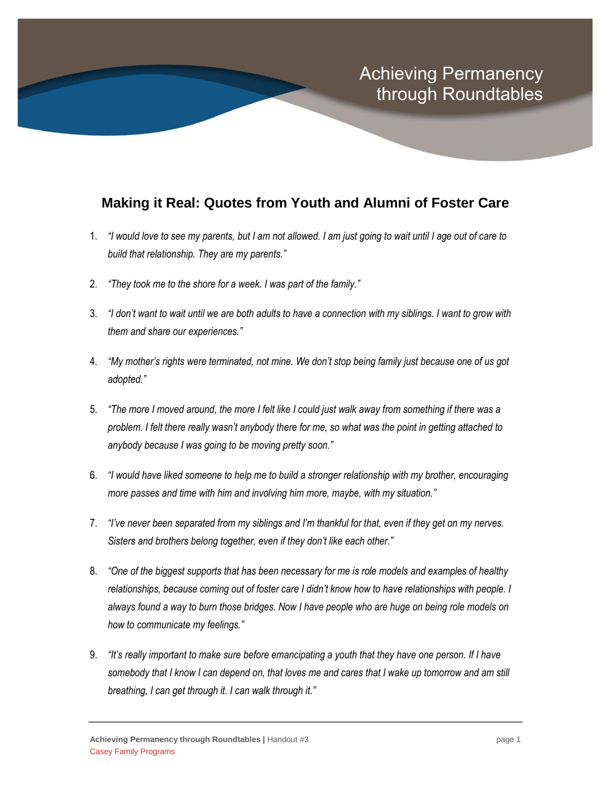## **Making it Real: Quotes from Youth and Alumni of Foster Care**

- 1. *"I would love to see my parents, but I am not allowed. I am just going to wait until I age out of care to build that relationship. They are my parents."*
- 2. *"They took me to the shore for a week. I was part of the family."*
- 3. *"I don't want to wait until we are both adults to have a connection with my siblings. I want to grow with them and share our experiences."*
- 4. *"My mother's rights were terminated, not mine. We don't stop being family just because one of us got adopted."*
- 5. *"The more I moved around, the more I felt like I could just walk away from something if there was a problem. I felt there really wasn't anybody there for me, so what was the point in getting attached to anybody because I was going to be moving pretty soon."*
- 6. *"I would have liked someone to help me to build a stronger relationship with my brother, encouraging more passes and time with him and involving him more, maybe, with my situation."*
- 7. *"I've never been separated from my siblings and I'm thankful for that, even if they get on my nerves. Sisters and brothers belong together, even if they don't like each other."*
- 8. *"One of the biggest supports that has been necessary for me is role models and examples of healthy*  relationships, because coming out of foster care I didn't know how to have relationships with people. I *always found a way to burn those bridges. Now I have people who are huge on being role models on how to communicate my feelings."*
- 9. *"It's really important to make sure before emancipating a youth that they have one person. If I have somebody that I know I can depend on, that loves me and cares that I wake up tomorrow and am still breathing, I can get through it. I can walk through it."*